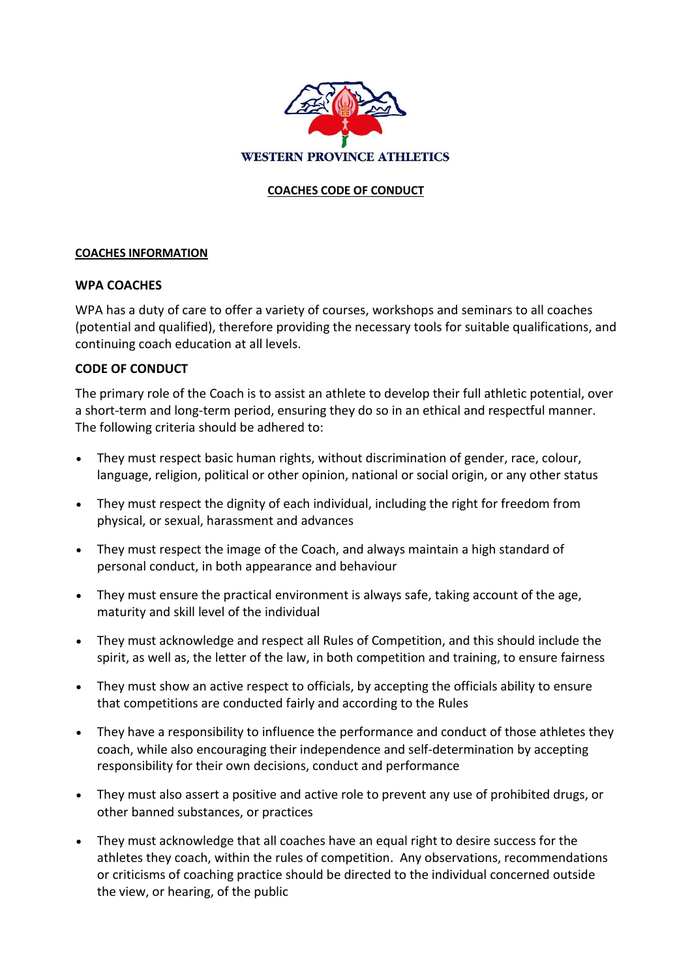

## **COACHES CODE OF CONDUCT**

## **COACHES INFORMATION**

## **WPA COACHES**

WPA has a duty of care to offer a variety of courses, workshops and seminars to all coaches (potential and qualified), therefore providing the necessary tools for suitable qualifications, and continuing coach education at all levels.

## **CODE OF CONDUCT**

The primary role of the Coach is to assist an athlete to develop their full athletic potential, over a short-term and long-term period, ensuring they do so in an ethical and respectful manner. The following criteria should be adhered to:

- They must respect basic human rights, without discrimination of gender, race, colour, language, religion, political or other opinion, national or social origin, or any other status
- They must respect the dignity of each individual, including the right for freedom from physical, or sexual, harassment and advances
- They must respect the image of the Coach, and always maintain a high standard of personal conduct, in both appearance and behaviour
- They must ensure the practical environment is always safe, taking account of the age, maturity and skill level of the individual
- They must acknowledge and respect all Rules of Competition, and this should include the spirit, as well as, the letter of the law, in both competition and training, to ensure fairness
- They must show an active respect to officials, by accepting the officials ability to ensure that competitions are conducted fairly and according to the Rules
- They have a responsibility to influence the performance and conduct of those athletes they coach, while also encouraging their independence and self-determination by accepting responsibility for their own decisions, conduct and performance
- They must also assert a positive and active role to prevent any use of prohibited drugs, or other banned substances, or practices
- They must acknowledge that all coaches have an equal right to desire success for the athletes they coach, within the rules of competition. Any observations, recommendations or criticisms of coaching practice should be directed to the individual concerned outside the view, or hearing, of the public